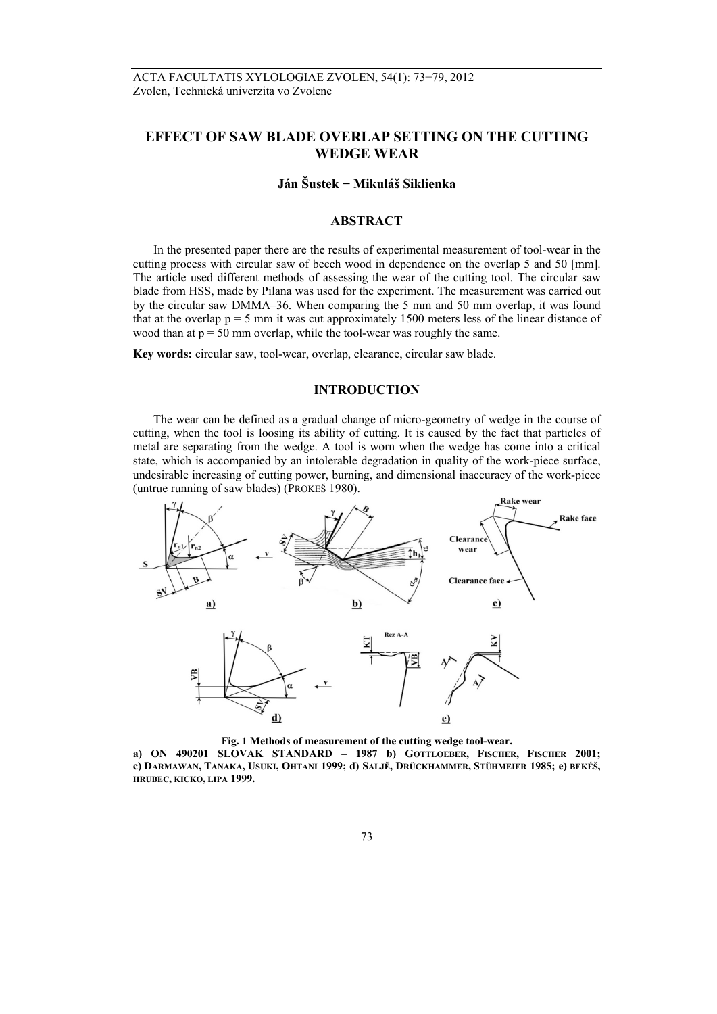# **EFFECT OF SAW BLADE OVERLAP SETTING ON THE CUTTING WEDGE WEAR**

## **Ján Šustek − Mikuláš Siklienka**

## **ABSTRACT**

In the presented paper there are the results of experimental measurement of tool-wear in the cutting process with circular saw of beech wood in dependence on the overlap 5 and 50 [mm]. The article used different methods of assessing the wear of the cutting tool. The circular saw blade from HSS, made by Pilana was used for the experiment. The measurement was carried out by the circular saw DMMA–36. When comparing the 5 mm and 50 mm overlap, it was found that at the overlap  $p = 5$  mm it was cut approximately 1500 meters less of the linear distance of wood than at  $p = 50$  mm overlap, while the tool-wear was roughly the same.

**Key words:** circular saw, tool-wear, overlap, clearance, circular saw blade.

## **INTRODUCTION**

The wear can be defined as a gradual change of micro-geometry of wedge in the course of cutting, when the tool is loosing its ability of cutting. It is caused by the fact that particles of metal are separating from the wedge. A tool is worn when the wedge has come into a critical state, which is accompanied by an intolerable degradation in quality of the work-piece surface, undesirable increasing of cutting power, burning, and dimensional inaccuracy of the work-piece (untrue running of saw blades) (PROKEŠ 1980).



**Fig. 1 Methods of measurement of the cutting wedge tool-wear. a) ON 490201 SLOVAK STANDARD – 1987 b) GOTTLOEBER, FISCHER, FISCHER 2001; c) DARMAWAN, TANAKA, USUKI, OHTANI 1999; d) SALJĚ, DRÜCKHAMMER, STÜHMEIER 1985; e) BEKÉŠ, HRUBEC, KICKO, LIPA 1999.**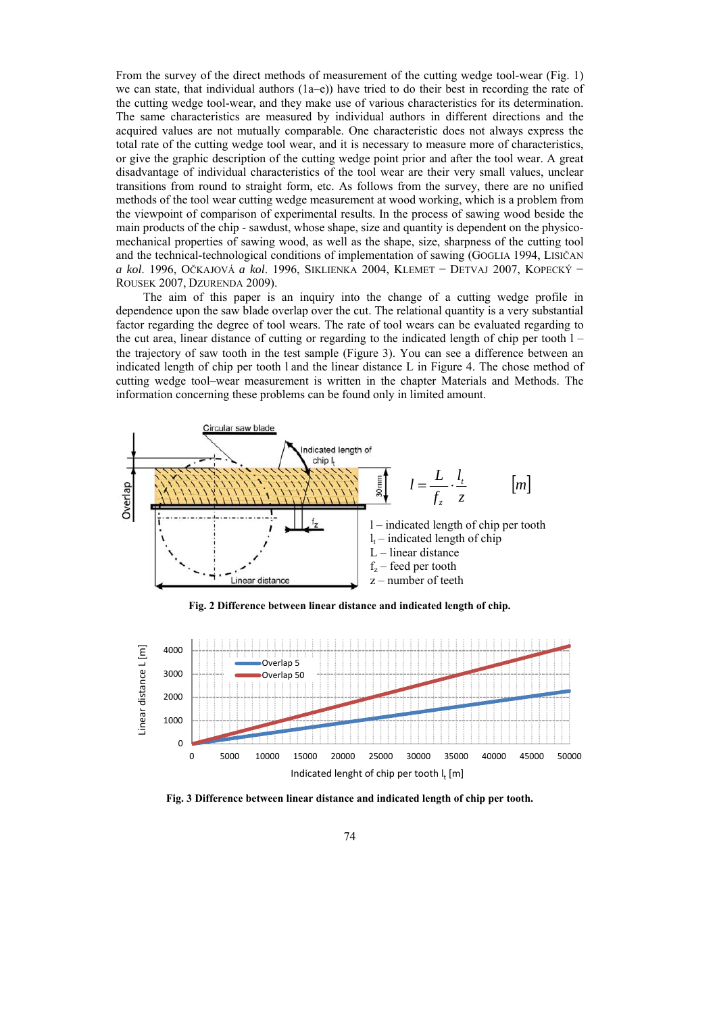From the survey of the direct methods of measurement of the cutting wedge tool-wear (Fig. 1) we can state, that individual authors  $(1a-e)$ ) have tried to do their best in recording the rate of the cutting wedge tool-wear, and they make use of various characteristics for its determination. The same characteristics are measured by individual authors in different directions and the acquired values are not mutually comparable. One characteristic does not always express the total rate of the cutting wedge tool wear, and it is necessary to measure more of characteristics, or give the graphic description of the cutting wedge point prior and after the tool wear. A great disadvantage of individual characteristics of the tool wear are their very small values, unclear transitions from round to straight form, etc. As follows from the survey, there are no unified methods of the tool wear cutting wedge measurement at wood working, which is a problem from the viewpoint of comparison of experimental results. In the process of sawing wood beside the main products of the chip - sawdust, whose shape, size and quantity is dependent on the physicomechanical properties of sawing wood, as well as the shape, size, sharpness of the cutting tool and the technical-technological conditions of implementation of sawing (GOGLIA 1994, LISIČAN *a kol*. 1996, OČKAJOVÁ *a kol*. 1996, SIKLIENKA 2004, KLEMET − DETVAJ 2007, KOPECKÝ − ROUSEK 2007, DZURENDA 2009).

The aim of this paper is an inquiry into the change of a cutting wedge profile in dependence upon the saw blade overlap over the cut. The relational quantity is a very substantial factor regarding the degree of tool wears. The rate of tool wears can be evaluated regarding to the cut area, linear distance of cutting or regarding to the indicated length of chip per tooth  $1$ the trajectory of saw tooth in the test sample (Figure 3. You can see a difference between an indicated length of chip per tooth l and the linear distance L in Figure 4. The chose method of cutting wedge tool–wear measurement is written in the chapter Materials and Methods. The information concerning these problems can be found only in limited amount.



**Fig. 2 Difference between linear distance and indicated length of chip.** 



**Fig. 3 Difference between linear distance and indicated length of chip per tooth.**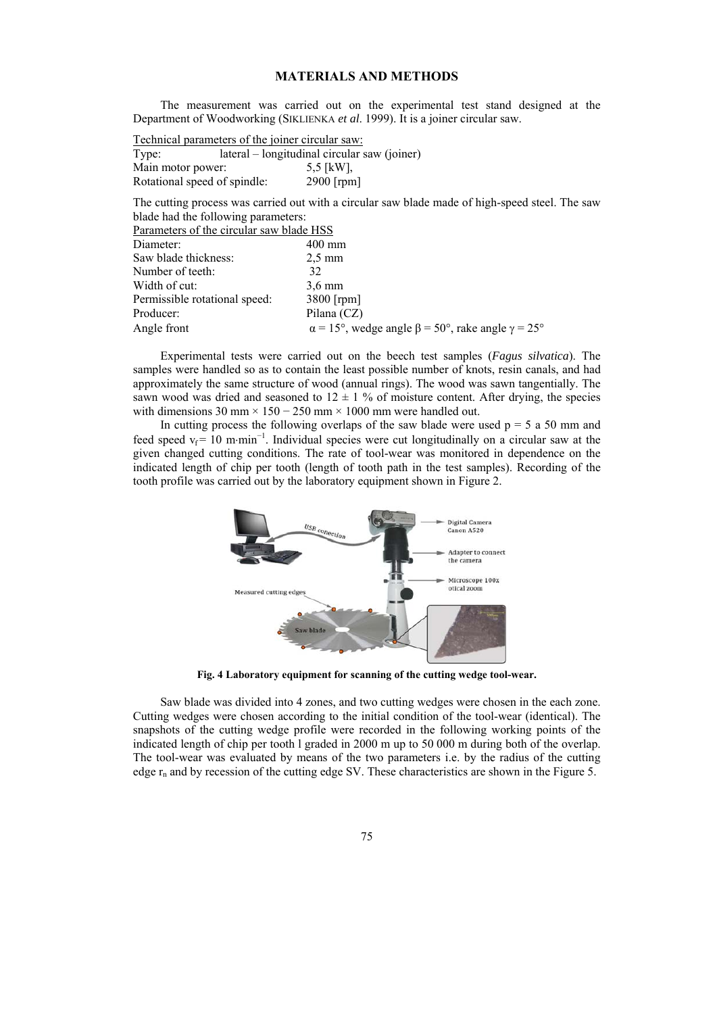## **MATERIALS AND METHODS**

The measurement was carried out on the experimental test stand designed at the Department of Woodworking (SIKLIENKA *et al*. 1999). It is a joiner circular saw.

| Technical parameters of the joiner circular saw: |                                              |               |  |
|--------------------------------------------------|----------------------------------------------|---------------|--|
| Type:                                            | lateral – longitudinal circular saw (joiner) |               |  |
| Main motor power:                                |                                              | 5.5 [ $kW$ ]. |  |
| Rotational speed of spindle:                     |                                              | $2900$ [rpm]  |  |
|                                                  |                                              |               |  |

The cutting process was carried out with a circular saw blade made of high-speed steel. The saw blade had the following parameters:

| Parameters of the circular saw blade HSS |                                                                      |  |
|------------------------------------------|----------------------------------------------------------------------|--|
| Diameter:                                | $400 \text{ mm}$                                                     |  |
| Saw blade thickness:                     | $2.5 \text{ mm}$                                                     |  |
| Number of teeth:                         | 32                                                                   |  |
| Width of cut:                            | $3.6 \text{ mm}$                                                     |  |
| Permissible rotational speed:            | 3800 [rpm]                                                           |  |
| Producer:                                | Pilana (CZ)                                                          |  |
| Angle front                              | $\alpha$ = 15°, wedge angle $\beta$ = 50°, rake angle $\gamma$ = 25° |  |

Experimental tests were carried out on the beech test samples (*Fagus silvatica*). The samples were handled so as to contain the least possible number of knots, resin canals, and had approximately the same structure of wood (annual rings). The wood was sawn tangentially. The sawn wood was dried and seasoned to  $12 \pm 1$  % of moisture content. After drying, the species with dimensions  $30 \text{ mm} \times 150 - 250 \text{ mm} \times 1000 \text{ mm}$  were handled out.

In cutting process the following overlaps of the saw blade were used  $p = 5$  a 50 mm and feed speed  $v_f$  = 10 m⋅min<sup>-1</sup>. Individual species were cut longitudinally on a circular saw at the given changed cutting conditions. The rate of tool-wear was monitored in dependence on the indicated length of chip per tooth (length of tooth path in the test samples). Recording of the tooth profile was carried out by the laboratory equipment shown in Figure 2.



**Fig. 4 Laboratory equipment for scanning of the cutting wedge tool-wear.** 

Saw blade was divided into 4 zones, and two cutting wedges were chosen in the each zone. Cutting wedges were chosen according to the initial condition of the tool-wear (identical). The snapshots of the cutting wedge profile were recorded in the following working points of the indicated length of chip per tooth l graded in 2000 m up to 50 000 m during both of the overlap. The tool-wear was evaluated by means of the two parameters i.e. by the radius of the cutting edge  $r_n$  and by recession of the cutting edge SV. These characteristics are shown in the Figure 5.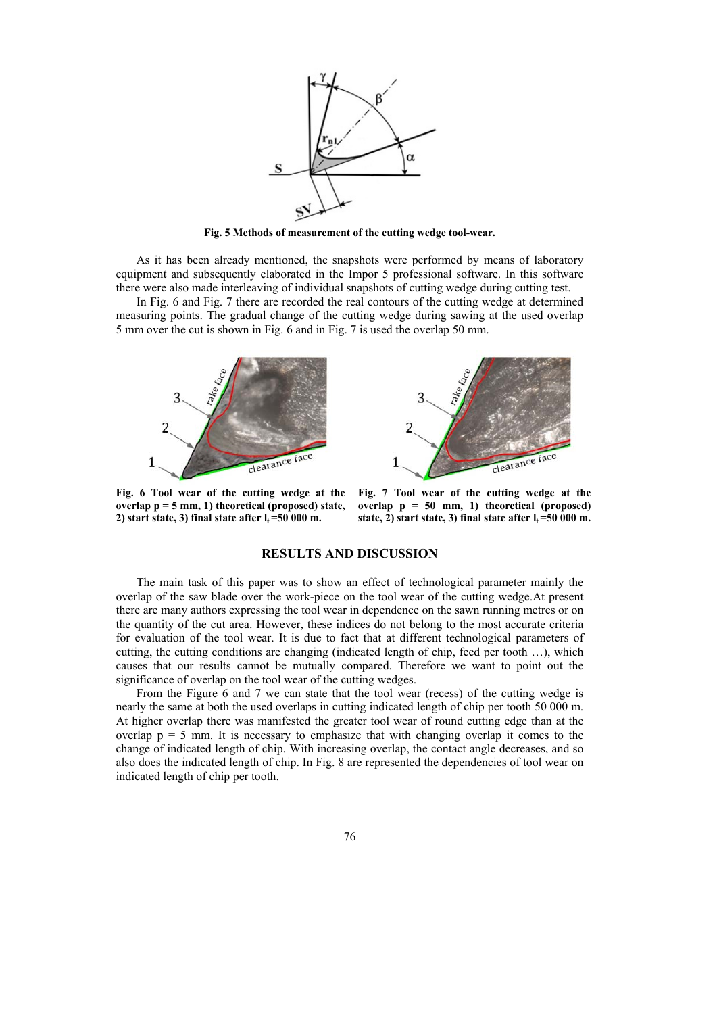

**Fig. 5 Methods of measurement of the cutting wedge tool-wear.** 

As it has been already mentioned, the snapshots were performed by means of laboratory equipment and subsequently elaborated in the Impor 5 professional software. In this software there were also made interleaving of individual snapshots of cutting wedge during cutting test.

In Fig. 6 and Fig. 7 there are recorded the real contours of the cutting wedge at determined measuring points. The gradual change of the cutting wedge during sawing at the used overlap 5 mm over the cut is shown in Fig. 6 and in Fig. 7 is used the overlap 50 mm.





**Fig. 6 Tool wear of the cutting wedge at the overlap p = 5 mm, 1) theoretical (proposed) state,**  2) start state, 3) final state after  $l_t = 50000$  m.

**Fig. 7 Tool wear of the cutting wedge at the overlap p = 50 mm, 1) theoretical (proposed)**  state, 2) start state, 3) final state after  $l_t = 50000$  m.

### **RESULTS AND DISCUSSION**

The main task of this paper was to show an effect of technological parameter mainly the overlap of the saw blade over the work-piece on the tool wear of the cutting wedge.At present there are many authors expressing the tool wear in dependence on the sawn running metres or on the quantity of the cut area. However, these indices do not belong to the most accurate criteria for evaluation of the tool wear. It is due to fact that at different technological parameters of cutting, the cutting conditions are changing (indicated length of chip, feed per tooth …), which causes that our results cannot be mutually compared. Therefore we want to point out the significance of overlap on the tool wear of the cutting wedges.

From the Figure 6 and 7 we can state that the tool wear (recess) of the cutting wedge is nearly the same at both the used overlaps in cutting indicated length of chip per tooth 50 000 m. At higher overlap there was manifested the greater tool wear of round cutting edge than at the overlap  $p = 5$  mm. It is necessary to emphasize that with changing overlap it comes to the change of indicated length of chip. With increasing overlap, the contact angle decreases, and so also does the indicated length of chip. In Fig. 8 are represented the dependencies of tool wear on indicated length of chip per tooth.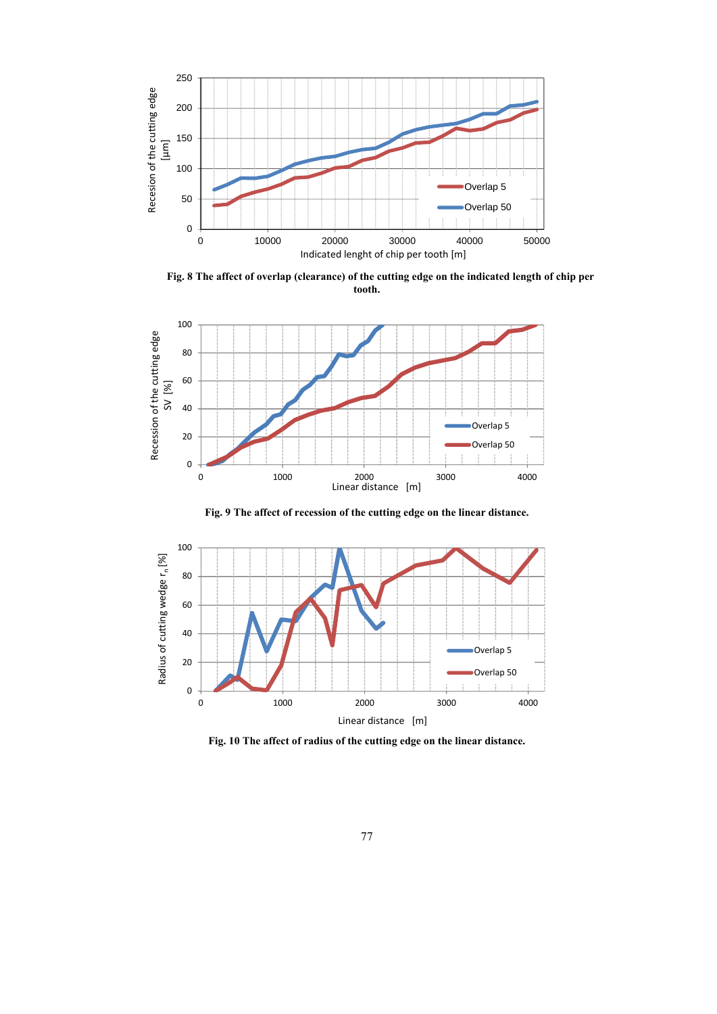

**Fig. 8 The affect of overlap (clearance) of the cutting edge on the indicated length of chip per tooth.** 



**Fig. 9 The affect of recession of the cutting edge on the linear distance.** 



**Fig. 10 The affect of radius of the cutting edge on the linear distance.**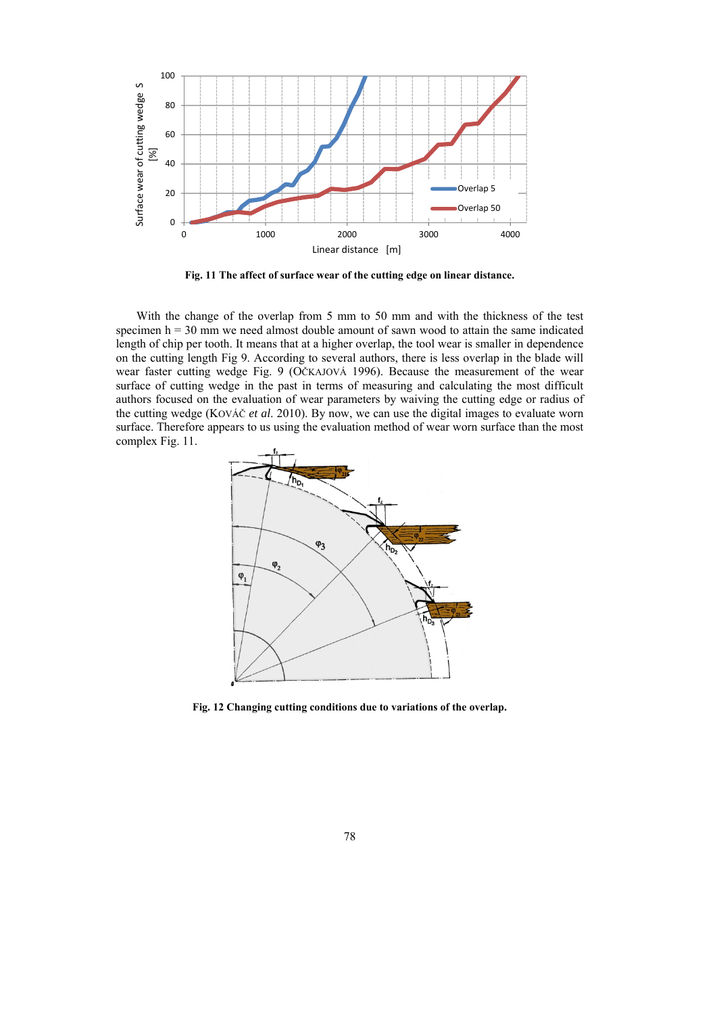

**Fig. 11 The affect of surface wear of the cutting edge on linear distance.** 

With the change of the overlap from 5 mm to 50 mm and with the thickness of the test specimen  $h = 30$  mm we need almost double amount of sawn wood to attain the same indicated length of chip per tooth. It means that at a higher overlap, the tool wear is smaller in dependence on the cutting length Fig 9. According to several authors, there is less overlap in the blade will wear faster cutting wedge Fig. 9 (OČKAJOVÁ 1996). Because the measurement of the wear surface of cutting wedge in the past in terms of measuring and calculating the most difficult authors focused on the evaluation of wear parameters by waiving the cutting edge or radius of the cutting wedge (KOVÁČ *et al*. 2010). By now, we can use the digital images to evaluate worn surface. Therefore appears to us using the evaluation method of wear worn surface than the most complex Fig. 11.



**Fig. 12 Changing cutting conditions due to variations of the overlap.**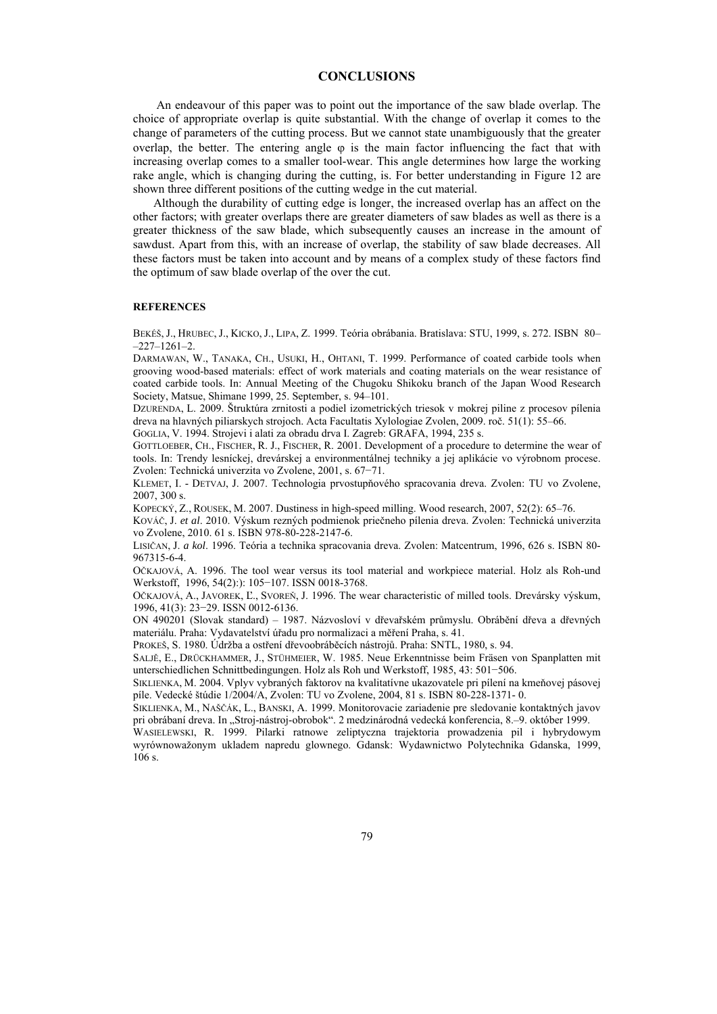#### **CONCLUSIONS**

 An endeavour of this paper was to point out the importance of the saw blade overlap. The choice of appropriate overlap is quite substantial. With the change of overlap it comes to the change of parameters of the cutting process. But we cannot state unambiguously that the greater overlap, the better. The entering angle  $\varphi$  is the main factor influencing the fact that with increasing overlap comes to a smaller tool-wear. This angle determines how large the working rake angle, which is changing during the cutting, is. For better understanding in Figure 12 are shown three different positions of the cutting wedge in the cut material.

Although the durability of cutting edge is longer, the increased overlap has an affect on the other factors; with greater overlaps there are greater diameters of saw blades as well as there is a greater thickness of the saw blade, which subsequently causes an increase in the amount of sawdust. Apart from this, with an increase of overlap, the stability of saw blade decreases. All these factors must be taken into account and by means of a complex study of these factors find the optimum of saw blade overlap of the over the cut.

#### **REFERENCES**

BEKÉŠ, J., HRUBEC, J., KICKO, J., LIPA, Z. 1999. Teória obrábania. Bratislava: STU, 1999, s. 272. ISBN 80– –227–1261–2.

DARMAWAN, W., TANAKA, CH., USUKI, H., OHTANI, T. 1999. Performance of coated carbide tools when grooving wood-based materials: effect of work materials and coating materials on the wear resistance of coated carbide tools. In: Annual Meeting of the Chugoku Shikoku branch of the Japan Wood Research Society, Matsue, Shimane 1999, 25. September, s. 94–101.

DZURENDA, L. 2009. Štruktúra zrnitosti a podiel izometrických triesok v mokrej piline z procesov pílenia dreva na hlavných piliarskych strojoch. Acta Facultatis Xylologiae Zvolen, 2009. roč. 51(1): 55–66.

GOGLIA, V. 1994. Strojevi i alati za obradu drva I. Zagreb: GRAFA, 1994, 235 s.

GOTTLOEBER, CH., FISCHER, R. J., FISCHER, R. 2001. Development of a procedure to determine the wear of tools. In: Trendy lesníckej, drevárskej a environmentálnej techniky a jej aplikácie vo výrobnom procese. Zvolen: Technická univerzita vo Zvolene, 2001, s. 67−71.

KLEMET, I. - DETVAJ, J. 2007. Technologia prvostupňového spracovania dreva. Zvolen: TU vo Zvolene, 2007, 300 s.

KOPECKÝ, Z., ROUSEK, M. 2007. Dustiness in high-speed milling. Wood research, 2007, 52(2): 65–76.

KOVÁČ, J. *et al*. 2010. Výskum rezných podmienok priečneho pílenia dreva. Zvolen: Technická univerzita vo Zvolene, 2010. 61 s. ISBN 978-80-228-2147-6.

LISIČAN, J. *a kol*. 1996. Teória a technika spracovania dreva. Zvolen: Matcentrum, 1996, 626 s. ISBN 80- 967315-6-4.

OČKAJOVÁ, A. 1996. The tool wear versus its tool material and workpiece material. Holz als Roh-und Werkstoff, 1996, 54(2):): 105−107. ISSN 0018-3768.

OČKAJOVÁ, A., JAVOREK, Ľ., SVOREŇ, J. 1996. The wear characteristic of milled tools. Drevársky výskum, 1996, 41(3): 23−29. ISSN 0012-6136.

ON 490201 (Slovak standard) – 1987. Názvosloví v dřevařském průmyslu. Obrábění dřeva a dřevných materiálu. Praha: Vydavatelství úřadu pro normalizaci a měření Praha, s. 41.

PROKEŠ, S. 1980. Údržba a ostření dřevoobráběcích nástrojů. Praha: SNTL, 1980, s. 94.

SALJĚ, E., DRÜCKHAMMER, J., STÜHMEIER, W. 1985. Neue Erkenntnisse beim Fräsen von Spanplatten mit unterschiedlichen Schnittbedingungen. Holz als Roh und Werkstoff, 1985, 43: 501−506.

SIKLIENKA, M. 2004. Vplyv vybraných faktorov na kvalitatívne ukazovatele pri pílení na kmeňovej pásovej píle. Vedecké štúdie 1/2004/A, Zvolen: TU vo Zvolene, 2004, 81 s. ISBN 80-228-1371- 0.

SIKLIENKA, M., NAŠČÁK, L., BANSKI, A. 1999. Monitorovacie zariadenie pre sledovanie kontaktných javov pri obrábaní dreva. In "Stroj-nástroj-obrobok". 2 medzinárodná vedecká konferencia, 8.–9. október 1999.

WASIELEWSKI, R. 1999. Pilarki ratnowe zeliptyczna trajektoria prowadzenia pil i hybrydowym wyrównowažonym ukladem napredu glownego. Gdansk: Wydawnictwo Polytechnika Gdanska, 1999, 106 s.